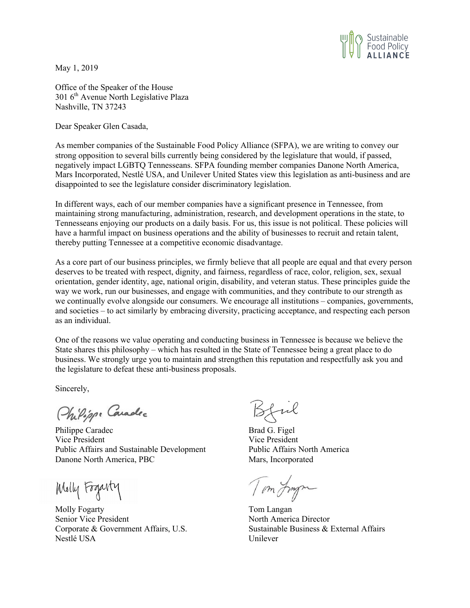

May 1, 2019

Office of the Speaker of the House  $301$  6<sup>th</sup> Avenue North Legislative Plaza Nashville, TN 37243

Dear Speaker Glen Casada,

As member companies of the Sustainable Food Policy Alliance (SFPA), we are writing to convey our strong opposition to several bills currently being considered by the legislature that would, if passed, negatively impact LGBTQ Tennesseans. SFPA founding member companies Danone North America, Mars Incorporated, Nestlé USA, and Unilever United States view this legislation as anti-business and are disappointed to see the legislature consider discriminatory legislation.

In different ways, each of our member companies have a significant presence in Tennessee, from maintaining strong manufacturing, administration, research, and development operations in the state, to Tennesseans enjoying our products on a daily basis. For us, this issue is not political. These policies will have a harmful impact on business operations and the ability of businesses to recruit and retain talent, thereby putting Tennessee at a competitive economic disadvantage.

As a core part of our business principles, we firmly believe that all people are equal and that every person deserves to be treated with respect, dignity, and fairness, regardless of race, color, religion, sex, sexual orientation, gender identity, age, national origin, disability, and veteran status. These principles guide the way we work, run our businesses, and engage with communities, and they contribute to our strength as we continually evolve alongside our consumers. We encourage all institutions – companies, governments, and societies – to act similarly by embracing diversity, practicing acceptance, and respecting each person as an individual.

One of the reasons we value operating and conducting business in Tennessee is because we believe the State shares this philosophy – which has resulted in the State of Tennessee being a great place to do business. We strongly urge you to maintain and strengthen this reputation and respectfully ask you and the legislature to defeat these anti-business proposals.

Sincerely,

Philippe Caradec

Philippe Caradec Brad G. Figel Vice President Vice President Public Affairs and Sustainable Development Public Affairs North America Danone North America, PBC Mars, Incorporated

Molly Fogarty

Molly Fogarty **Tom Langan** Senior Vice President North America Director Nestlé USA Unilever

 $51u$ 

Tom Jungen

Corporate & Government Affairs, U.S. Sustainable Business & External Affairs